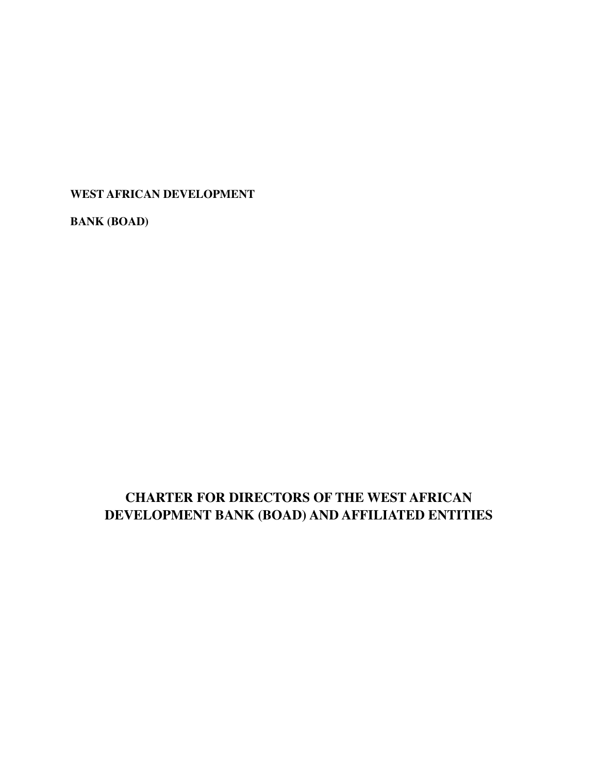**WEST AFRICAN DEVELOPMENT**

**BANK (BOAD)**

# **CHARTER FOR DIRECTORS OF THE WEST AFRICAN DEVELOPMENT BANK (BOAD) AND AFFILIATED ENTITIES**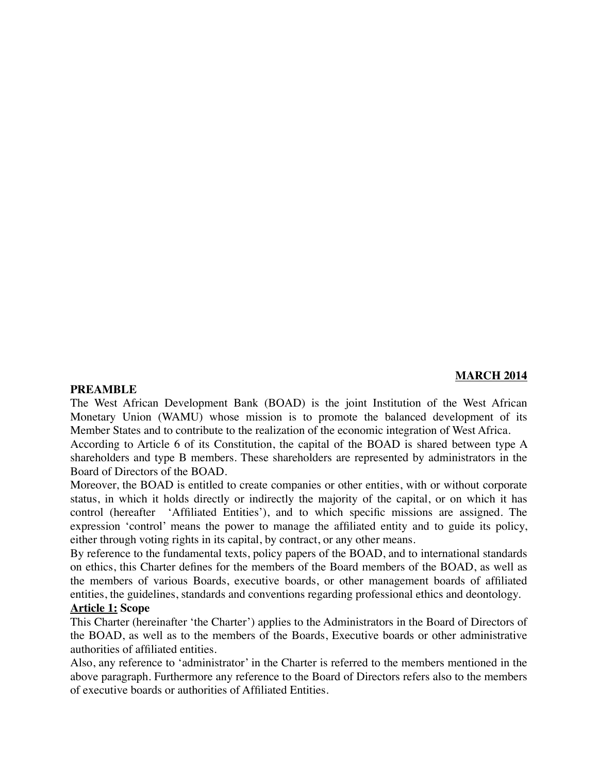#### **MARCH 2014**

#### **PREAMBLE**

The West African Development Bank (BOAD) is the joint Institution of the West African Monetary Union (WAMU) whose mission is to promote the balanced development of its Member States and to contribute to the realization of the economic integration of West Africa.

According to Article 6 of its Constitution, the capital of the BOAD is shared between type A shareholders and type B members. These shareholders are represented by administrators in the Board of Directors of the BOAD.

Moreover, the BOAD is entitled to create companies or other entities, with or without corporate status, in which it holds directly or indirectly the majority of the capital, or on which it has control (hereafter 'Affiliated Entities'), and to which specific missions are assigned. The expression 'control' means the power to manage the affiliated entity and to guide its policy, either through voting rights in its capital, by contract, or any other means.

By reference to the fundamental texts, policy papers of the BOAD, and to international standards on ethics, this Charter defines for the members of the Board members of the BOAD, as well as the members of various Boards, executive boards, or other management boards of affiliated entities, the guidelines, standards and conventions regarding professional ethics and deontology.

### **Article 1: Scope**

This Charter (hereinafter 'the Charter') applies to the Administrators in the Board of Directors of the BOAD, as well as to the members of the Boards, Executive boards or other administrative authorities of affiliated entities.

Also, any reference to 'administrator' in the Charter is referred to the members mentioned in the above paragraph. Furthermore any reference to the Board of Directors refers also to the members of executive boards or authorities of Affiliated Entities.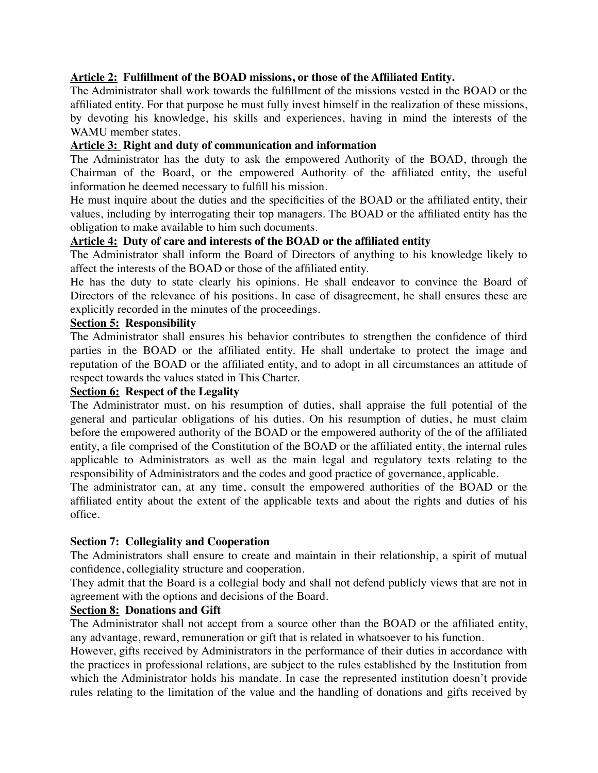### **Article 2: Fulfillment of the BOAD missions, or those of the Affiliated Entity.**

The Administrator shall work towards the fulfillment of the missions vested in the BOAD or the affiliated entity. For that purpose he must fully invest himself in the realization of these missions, by devoting his knowledge, his skills and experiences, having in mind the interests of the WAMU member states.

### **Article 3: Right and duty of communication and information**

The Administrator has the duty to ask the empowered Authority of the BOAD, through the Chairman of the Board, or the empowered Authority of the affiliated entity, the useful information he deemed necessary to fulfill his mission.

He must inquire about the duties and the specificities of the BOAD or the affiliated entity, their values, including by interrogating their top managers. The BOAD or the affiliated entity has the obligation to make available to him such documents.

### **Article 4: Duty of care and interests of the BOAD or the affiliated entity**

The Administrator shall inform the Board of Directors of anything to his knowledge likely to affect the interests of the BOAD or those of the affiliated entity.

He has the duty to state clearly his opinions. He shall endeavor to convince the Board of Directors of the relevance of his positions. In case of disagreement, he shall ensures these are explicitly recorded in the minutes of the proceedings.

#### **Section 5: Responsibility**

The Administrator shall ensures his behavior contributes to strengthen the confidence of third parties in the BOAD or the affiliated entity. He shall undertake to protect the image and reputation of the BOAD or the affiliated entity, and to adopt in all circumstances an attitude of respect towards the values stated in This Charter.

### **Section 6: Respect of the Legality**

The Administrator must, on his resumption of duties, shall appraise the full potential of the general and particular obligations of his duties. On his resumption of duties, he must claim before the empowered authority of the BOAD or the empowered authority of the of the affiliated entity, a file comprised of the Constitution of the BOAD or the affiliated entity, the internal rules applicable to Administrators as well as the main legal and regulatory texts relating to the responsibility of Administrators and the codes and good practice of governance, applicable.

The administrator can, at any time, consult the empowered authorities of the BOAD or the affiliated entity about the extent of the applicable texts and about the rights and duties of his office.

#### **Section 7: Collegiality and Cooperation**

The Administrators shall ensure to create and maintain in their relationship, a spirit of mutual confidence, collegiality structure and cooperation.

They admit that the Board is a collegial body and shall not defend publicly views that are not in agreement with the options and decisions of the Board.

#### **Section 8: Donations and Gift**

The Administrator shall not accept from a source other than the BOAD or the affiliated entity, any advantage, reward, remuneration or gift that is related in whatsoever to his function.

However, gifts received by Administrators in the performance of their duties in accordance with the practices in professional relations, are subject to the rules established by the Institution from which the Administrator holds his mandate. In case the represented institution doesn't provide rules relating to the limitation of the value and the handling of donations and gifts received by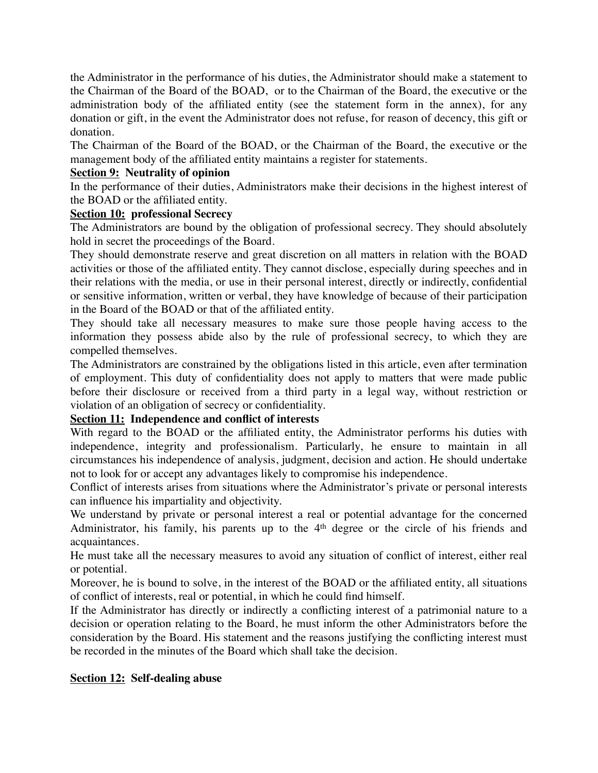the Administrator in the performance of his duties, the Administrator should make a statement to the Chairman of the Board of the BOAD, or to the Chairman of the Board, the executive or the administration body of the affiliated entity (see the statement form in the annex), for any donation or gift, in the event the Administrator does not refuse, for reason of decency, this gift or donation.

The Chairman of the Board of the BOAD, or the Chairman of the Board, the executive or the management body of the affiliated entity maintains a register for statements.

## **Section 9: Neutrality of opinion**

In the performance of their duties, Administrators make their decisions in the highest interest of the BOAD or the affiliated entity.

## **Section 10: professional Secrecy**

The Administrators are bound by the obligation of professional secrecy. They should absolutely hold in secret the proceedings of the Board.

They should demonstrate reserve and great discretion on all matters in relation with the BOAD activities or those of the affiliated entity. They cannot disclose, especially during speeches and in their relations with the media, or use in their personal interest, directly or indirectly, confidential or sensitive information, written or verbal, they have knowledge of because of their participation in the Board of the BOAD or that of the affiliated entity.

They should take all necessary measures to make sure those people having access to the information they possess abide also by the rule of professional secrecy, to which they are compelled themselves.

The Administrators are constrained by the obligations listed in this article, even after termination of employment. This duty of confidentiality does not apply to matters that were made public before their disclosure or received from a third party in a legal way, without restriction or violation of an obligation of secrecy or confidentiality.

## **Section 11: Independence and conflict of interests**

With regard to the BOAD or the affiliated entity, the Administrator performs his duties with independence, integrity and professionalism. Particularly, he ensure to maintain in all circumstances his independence of analysis, judgment, decision and action. He should undertake not to look for or accept any advantages likely to compromise his independence.

Conflict of interests arises from situations where the Administrator's private or personal interests can influence his impartiality and objectivity.

We understand by private or personal interest a real or potential advantage for the concerned Administrator, his family, his parents up to the 4th degree or the circle of his friends and acquaintances.

He must take all the necessary measures to avoid any situation of conflict of interest, either real or potential.

Moreover, he is bound to solve, in the interest of the BOAD or the affiliated entity, all situations of conflict of interests, real or potential, in which he could find himself.

If the Administrator has directly or indirectly a conflicting interest of a patrimonial nature to a decision or operation relating to the Board, he must inform the other Administrators before the consideration by the Board. His statement and the reasons justifying the conflicting interest must be recorded in the minutes of the Board which shall take the decision.

## **Section 12: Self-dealing abuse**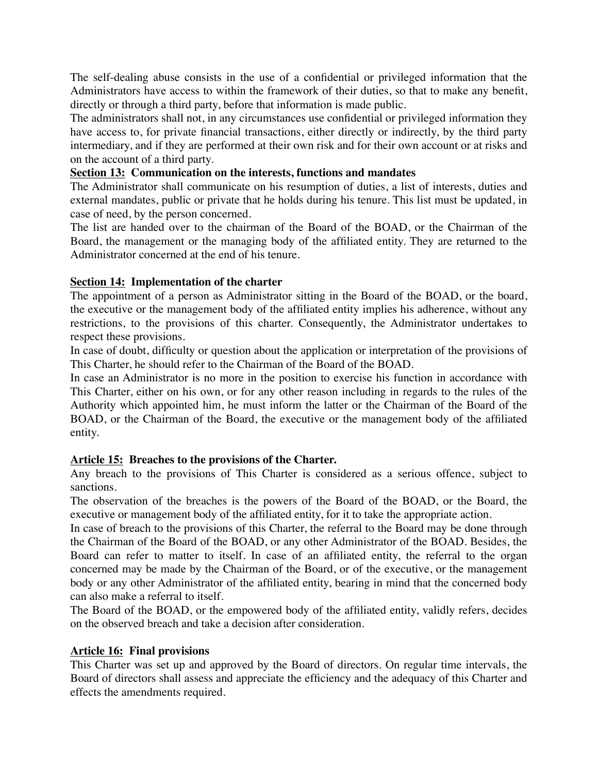The self-dealing abuse consists in the use of a confidential or privileged information that the Administrators have access to within the framework of their duties, so that to make any benefit, directly or through a third party, before that information is made public.

The administrators shall not, in any circumstances use confidential or privileged information they have access to, for private financial transactions, either directly or indirectly, by the third party intermediary, and if they are performed at their own risk and for their own account or at risks and on the account of a third party.

#### **Section 13: Communication on the interests, functions and mandates**

The Administrator shall communicate on his resumption of duties, a list of interests, duties and external mandates, public or private that he holds during his tenure. This list must be updated, in case of need, by the person concerned.

The list are handed over to the chairman of the Board of the BOAD, or the Chairman of the Board, the management or the managing body of the affiliated entity. They are returned to the Administrator concerned at the end of his tenure.

### **Section 14: Implementation of the charter**

The appointment of a person as Administrator sitting in the Board of the BOAD, or the board, the executive or the management body of the affiliated entity implies his adherence, without any restrictions, to the provisions of this charter. Consequently, the Administrator undertakes to respect these provisions.

In case of doubt, difficulty or question about the application or interpretation of the provisions of This Charter, he should refer to the Chairman of the Board of the BOAD.

In case an Administrator is no more in the position to exercise his function in accordance with This Charter, either on his own, or for any other reason including in regards to the rules of the Authority which appointed him, he must inform the latter or the Chairman of the Board of the BOAD, or the Chairman of the Board, the executive or the management body of the affiliated entity.

## **Article 15: Breaches to the provisions of the Charter.**

Any breach to the provisions of This Charter is considered as a serious offence, subject to sanctions.

The observation of the breaches is the powers of the Board of the BOAD, or the Board, the executive or management body of the affiliated entity, for it to take the appropriate action.

In case of breach to the provisions of this Charter, the referral to the Board may be done through the Chairman of the Board of the BOAD, or any other Administrator of the BOAD. Besides, the Board can refer to matter to itself. In case of an affiliated entity, the referral to the organ concerned may be made by the Chairman of the Board, or of the executive, or the management body or any other Administrator of the affiliated entity, bearing in mind that the concerned body can also make a referral to itself.

The Board of the BOAD, or the empowered body of the affiliated entity, validly refers, decides on the observed breach and take a decision after consideration.

## **Article 16: Final provisions**

This Charter was set up and approved by the Board of directors. On regular time intervals, the Board of directors shall assess and appreciate the efficiency and the adequacy of this Charter and effects the amendments required.